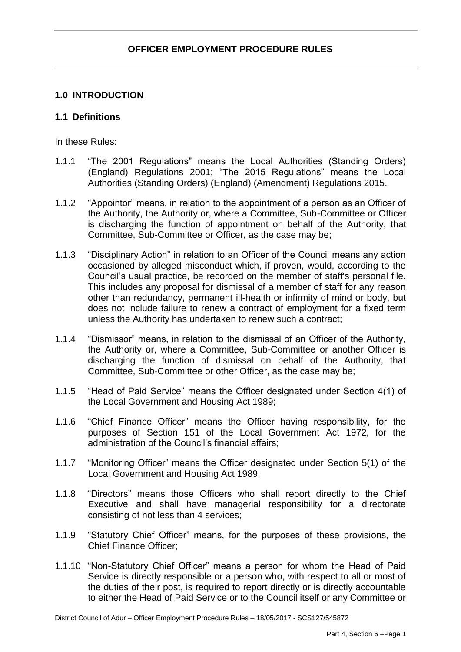# **1.0 INTRODUCTION**

### **1.1 Definitions**

In these Rules:

- 1.1.1 "The 2001 Regulations" means the Local Authorities (Standing Orders) (England) Regulations 2001; "The 2015 Regulations" means the Local Authorities (Standing Orders) (England) (Amendment) Regulations 2015.
- 1.1.2 "Appointor" means, in relation to the appointment of a person as an Officer of the Authority, the Authority or, where a Committee, Sub-Committee or Officer is discharging the function of appointment on behalf of the Authority, that Committee, Sub-Committee or Officer, as the case may be;
- 1.1.3 "Disciplinary Action" in relation to an Officer of the Council means any action occasioned by alleged misconduct which, if proven, would, according to the Council's usual practice, be recorded on the member of staff's personal file. This includes any proposal for dismissal of a member of staff for any reason other than redundancy, permanent ill-health or infirmity of mind or body, but does not include failure to renew a contract of employment for a fixed term unless the Authority has undertaken to renew such a contract;
- 1.1.4 "Dismissor" means, in relation to the dismissal of an Officer of the Authority, the Authority or, where a Committee, Sub-Committee or another Officer is discharging the function of dismissal on behalf of the Authority, that Committee, Sub-Committee or other Officer, as the case may be;
- 1.1.5 "Head of Paid Service" means the Officer designated under Section 4(1) of the Local Government and Housing Act 1989;
- 1.1.6 "Chief Finance Officer" means the Officer having responsibility, for the purposes of Section 151 of the Local Government Act 1972, for the administration of the Council's financial affairs;
- 1.1.7 "Monitoring Officer" means the Officer designated under Section 5(1) of the Local Government and Housing Act 1989;
- 1.1.8 "Directors" means those Officers who shall report directly to the Chief Executive and shall have managerial responsibility for a directorate consisting of not less than 4 services;
- 1.1.9 "Statutory Chief Officer" means, for the purposes of these provisions, the Chief Finance Officer;
- 1.1.10 "Non-Statutory Chief Officer" means a person for whom the Head of Paid Service is directly responsible or a person who, with respect to all or most of the duties of their post, is required to report directly or is directly accountable to either the Head of Paid Service or to the Council itself or any Committee or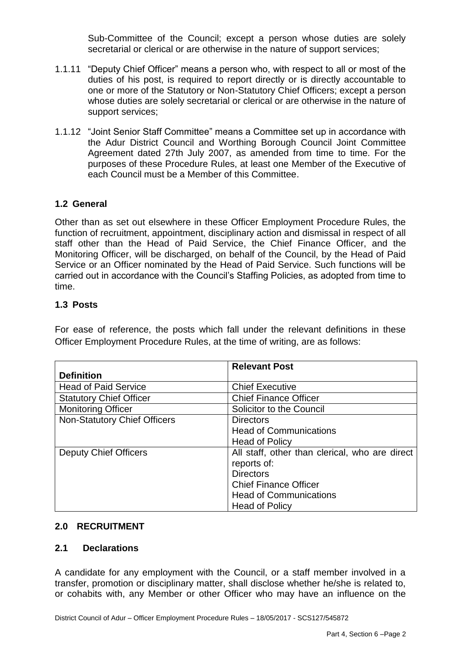Sub-Committee of the Council; except a person whose duties are solely secretarial or clerical or are otherwise in the nature of support services;

- 1.1.11 "Deputy Chief Officer" means a person who, with respect to all or most of the duties of his post, is required to report directly or is directly accountable to one or more of the Statutory or Non-Statutory Chief Officers; except a person whose duties are solely secretarial or clerical or are otherwise in the nature of support services;
- 1.1.12 "Joint Senior Staff Committee" means a Committee set up in accordance with the Adur District Council and Worthing Borough Council Joint Committee Agreement dated 27th July 2007, as amended from time to time. For the purposes of these Procedure Rules, at least one Member of the Executive of each Council must be a Member of this Committee.

# **1.2 General**

Other than as set out elsewhere in these Officer Employment Procedure Rules, the function of recruitment, appointment, disciplinary action and dismissal in respect of all staff other than the Head of Paid Service, the Chief Finance Officer, and the Monitoring Officer, will be discharged, on behalf of the Council, by the Head of Paid Service or an Officer nominated by the Head of Paid Service. Such functions will be carried out in accordance with the Council's Staffing Policies, as adopted from time to time.

### **1.3 Posts**

For ease of reference, the posts which fall under the relevant definitions in these Officer Employment Procedure Rules, at the time of writing, are as follows:

|                                     | <b>Relevant Post</b>                           |
|-------------------------------------|------------------------------------------------|
| <b>Definition</b>                   |                                                |
| <b>Head of Paid Service</b>         | <b>Chief Executive</b>                         |
| <b>Statutory Chief Officer</b>      | <b>Chief Finance Officer</b>                   |
| <b>Monitoring Officer</b>           | Solicitor to the Council                       |
| <b>Non-Statutory Chief Officers</b> | <b>Directors</b>                               |
|                                     | <b>Head of Communications</b>                  |
|                                     | <b>Head of Policy</b>                          |
| <b>Deputy Chief Officers</b>        | All staff, other than clerical, who are direct |
|                                     | reports of:                                    |
|                                     | <b>Directors</b>                               |
|                                     | <b>Chief Finance Officer</b>                   |
|                                     | <b>Head of Communications</b>                  |
|                                     | <b>Head of Policy</b>                          |

#### **2.0 RECRUITMENT**

#### **2.1 Declarations**

A candidate for any employment with the Council, or a staff member involved in a transfer, promotion or disciplinary matter, shall disclose whether he/she is related to, or cohabits with, any Member or other Officer who may have an influence on the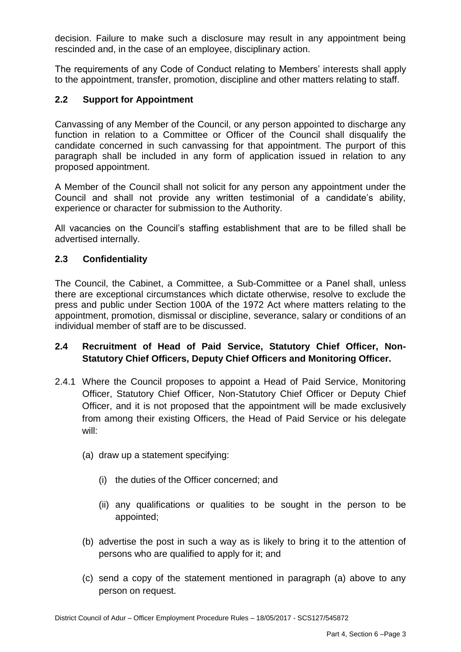decision. Failure to make such a disclosure may result in any appointment being rescinded and, in the case of an employee, disciplinary action.

The requirements of any Code of Conduct relating to Members' interests shall apply to the appointment, transfer, promotion, discipline and other matters relating to staff.

### **2.2 Support for Appointment**

Canvassing of any Member of the Council, or any person appointed to discharge any function in relation to a Committee or Officer of the Council shall disqualify the candidate concerned in such canvassing for that appointment. The purport of this paragraph shall be included in any form of application issued in relation to any proposed appointment.

A Member of the Council shall not solicit for any person any appointment under the Council and shall not provide any written testimonial of a candidate's ability, experience or character for submission to the Authority.

All vacancies on the Council's staffing establishment that are to be filled shall be advertised internally.

### **2.3 Confidentiality**

The Council, the Cabinet, a Committee, a Sub-Committee or a Panel shall, unless there are exceptional circumstances which dictate otherwise, resolve to exclude the press and public under Section 100A of the 1972 Act where matters relating to the appointment, promotion, dismissal or discipline, severance, salary or conditions of an individual member of staff are to be discussed.

# **2.4 Recruitment of Head of Paid Service, Statutory Chief Officer, Non-Statutory Chief Officers, Deputy Chief Officers and Monitoring Officer.**

- 2.4.1 Where the Council proposes to appoint a Head of Paid Service, Monitoring Officer, Statutory Chief Officer, Non-Statutory Chief Officer or Deputy Chief Officer, and it is not proposed that the appointment will be made exclusively from among their existing Officers, the Head of Paid Service or his delegate will:
	- (a) draw up a statement specifying:
		- (i) the duties of the Officer concerned; and
		- (ii) any qualifications or qualities to be sought in the person to be appointed;
	- (b) advertise the post in such a way as is likely to bring it to the attention of persons who are qualified to apply for it; and
	- (c) send a copy of the statement mentioned in paragraph (a) above to any person on request.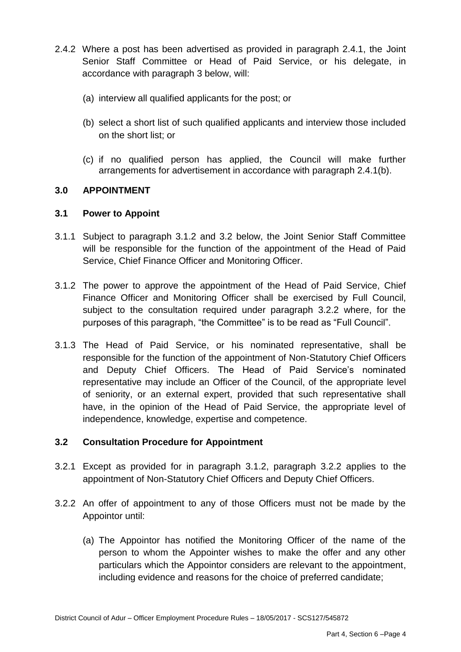- 2.4.2 Where a post has been advertised as provided in paragraph 2.4.1, the Joint Senior Staff Committee or Head of Paid Service, or his delegate, in accordance with paragraph 3 below, will:
	- (a) interview all qualified applicants for the post; or
	- (b) select a short list of such qualified applicants and interview those included on the short list; or
	- (c) if no qualified person has applied, the Council will make further arrangements for advertisement in accordance with paragraph 2.4.1(b).

### **3.0 APPOINTMENT**

#### **3.1 Power to Appoint**

- 3.1.1 Subject to paragraph 3.1.2 and 3.2 below, the Joint Senior Staff Committee will be responsible for the function of the appointment of the Head of Paid Service, Chief Finance Officer and Monitoring Officer.
- 3.1.2 The power to approve the appointment of the Head of Paid Service, Chief Finance Officer and Monitoring Officer shall be exercised by Full Council, subject to the consultation required under paragraph 3.2.2 where, for the purposes of this paragraph, "the Committee" is to be read as "Full Council".
- 3.1.3 The Head of Paid Service, or his nominated representative, shall be responsible for the function of the appointment of Non-Statutory Chief Officers and Deputy Chief Officers. The Head of Paid Service's nominated representative may include an Officer of the Council, of the appropriate level of seniority, or an external expert, provided that such representative shall have, in the opinion of the Head of Paid Service, the appropriate level of independence, knowledge, expertise and competence.

#### **3.2 Consultation Procedure for Appointment**

- 3.2.1 Except as provided for in paragraph 3.1.2, paragraph 3.2.2 applies to the appointment of Non-Statutory Chief Officers and Deputy Chief Officers.
- 3.2.2 An offer of appointment to any of those Officers must not be made by the Appointor until:
	- (a) The Appointor has notified the Monitoring Officer of the name of the person to whom the Appointer wishes to make the offer and any other particulars which the Appointor considers are relevant to the appointment, including evidence and reasons for the choice of preferred candidate;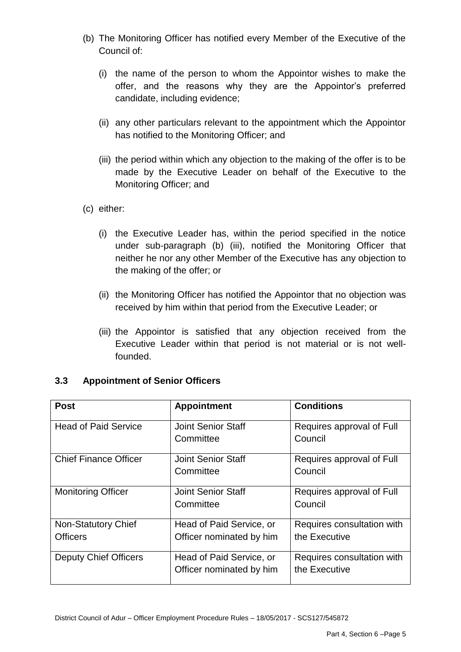- (b) The Monitoring Officer has notified every Member of the Executive of the Council of:
	- (i) the name of the person to whom the Appointor wishes to make the offer, and the reasons why they are the Appointor's preferred candidate, including evidence;
	- (ii) any other particulars relevant to the appointment which the Appointor has notified to the Monitoring Officer; and
	- (iii) the period within which any objection to the making of the offer is to be made by the Executive Leader on behalf of the Executive to the Monitoring Officer; and
- (c) either:
	- (i) the Executive Leader has, within the period specified in the notice under sub-paragraph (b) (iii), notified the Monitoring Officer that neither he nor any other Member of the Executive has any objection to the making of the offer; or
	- (ii) the Monitoring Officer has notified the Appointor that no objection was received by him within that period from the Executive Leader; or
	- (iii) the Appointor is satisfied that any objection received from the Executive Leader within that period is not material or is not wellfounded.

| 3.3 | <b>Appointment of Senior Officers</b> |  |  |
|-----|---------------------------------------|--|--|
|-----|---------------------------------------|--|--|

| <b>Post</b>                  | <b>Appointment</b>        | <b>Conditions</b>          |
|------------------------------|---------------------------|----------------------------|
| <b>Head of Paid Service</b>  | <b>Joint Senior Staff</b> | Requires approval of Full  |
|                              | Committee                 | Council                    |
| <b>Chief Finance Officer</b> | <b>Joint Senior Staff</b> | Requires approval of Full  |
|                              | Committee                 | Council                    |
| <b>Monitoring Officer</b>    | <b>Joint Senior Staff</b> | Requires approval of Full  |
|                              | Committee                 | Council                    |
| <b>Non-Statutory Chief</b>   | Head of Paid Service, or  | Requires consultation with |
| <b>Officers</b>              | Officer nominated by him  | the Executive              |
| <b>Deputy Chief Officers</b> | Head of Paid Service, or  | Requires consultation with |
|                              | Officer nominated by him  | the Executive              |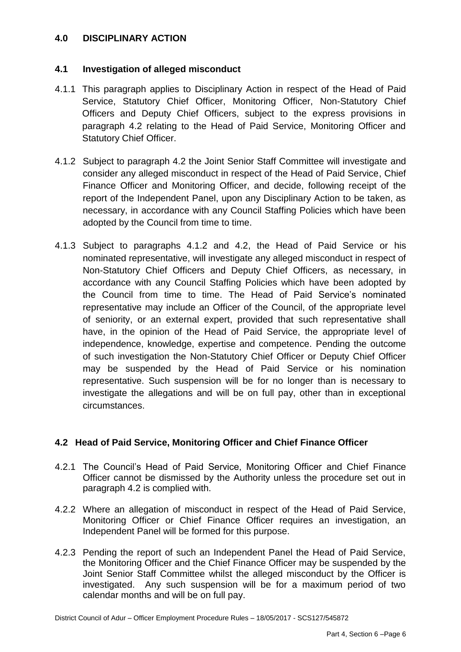### **4.0 DISCIPLINARY ACTION**

### **4.1 Investigation of alleged misconduct**

- 4.1.1 This paragraph applies to Disciplinary Action in respect of the Head of Paid Service, Statutory Chief Officer, Monitoring Officer, Non-Statutory Chief Officers and Deputy Chief Officers, subject to the express provisions in paragraph 4.2 relating to the Head of Paid Service, Monitoring Officer and Statutory Chief Officer.
- 4.1.2 Subject to paragraph 4.2 the Joint Senior Staff Committee will investigate and consider any alleged misconduct in respect of the Head of Paid Service, Chief Finance Officer and Monitoring Officer, and decide, following receipt of the report of the Independent Panel, upon any Disciplinary Action to be taken, as necessary, in accordance with any Council Staffing Policies which have been adopted by the Council from time to time.
- 4.1.3 Subject to paragraphs 4.1.2 and 4.2, the Head of Paid Service or his nominated representative, will investigate any alleged misconduct in respect of Non-Statutory Chief Officers and Deputy Chief Officers, as necessary, in accordance with any Council Staffing Policies which have been adopted by the Council from time to time. The Head of Paid Service's nominated representative may include an Officer of the Council, of the appropriate level of seniority, or an external expert, provided that such representative shall have, in the opinion of the Head of Paid Service, the appropriate level of independence, knowledge, expertise and competence. Pending the outcome of such investigation the Non-Statutory Chief Officer or Deputy Chief Officer may be suspended by the Head of Paid Service or his nomination representative. Such suspension will be for no longer than is necessary to investigate the allegations and will be on full pay, other than in exceptional circumstances.

# **4.2 Head of Paid Service, Monitoring Officer and Chief Finance Officer**

- 4.2.1 The Council's Head of Paid Service, Monitoring Officer and Chief Finance Officer cannot be dismissed by the Authority unless the procedure set out in paragraph 4.2 is complied with.
- 4.2.2 Where an allegation of misconduct in respect of the Head of Paid Service, Monitoring Officer or Chief Finance Officer requires an investigation, an Independent Panel will be formed for this purpose.
- 4.2.3 Pending the report of such an Independent Panel the Head of Paid Service, the Monitoring Officer and the Chief Finance Officer may be suspended by the Joint Senior Staff Committee whilst the alleged misconduct by the Officer is investigated. Any such suspension will be for a maximum period of two calendar months and will be on full pay.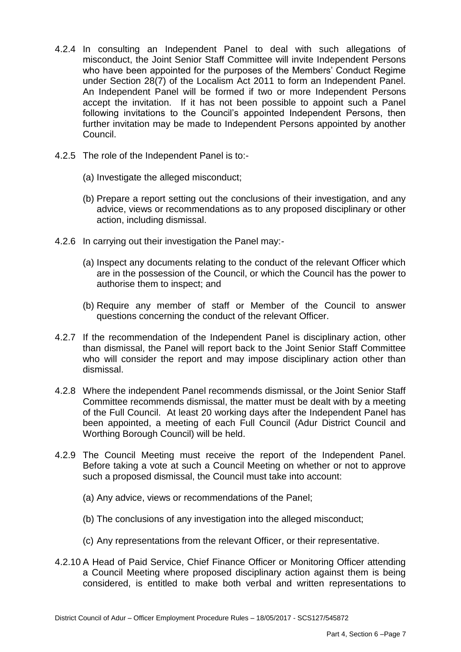- 4.2.4 In consulting an Independent Panel to deal with such allegations of misconduct, the Joint Senior Staff Committee will invite Independent Persons who have been appointed for the purposes of the Members' Conduct Regime under Section 28(7) of the Localism Act 2011 to form an Independent Panel. An Independent Panel will be formed if two or more Independent Persons accept the invitation. If it has not been possible to appoint such a Panel following invitations to the Council's appointed Independent Persons, then further invitation may be made to Independent Persons appointed by another Council.
- 4.2.5 The role of the Independent Panel is to:-
	- (a) Investigate the alleged misconduct;
	- (b) Prepare a report setting out the conclusions of their investigation, and any advice, views or recommendations as to any proposed disciplinary or other action, including dismissal.
- 4.2.6 In carrying out their investigation the Panel may:-
	- (a) Inspect any documents relating to the conduct of the relevant Officer which are in the possession of the Council, or which the Council has the power to authorise them to inspect; and
	- (b) Require any member of staff or Member of the Council to answer questions concerning the conduct of the relevant Officer.
- 4.2.7 If the recommendation of the Independent Panel is disciplinary action, other than dismissal, the Panel will report back to the Joint Senior Staff Committee who will consider the report and may impose disciplinary action other than dismissal.
- 4.2.8 Where the independent Panel recommends dismissal, or the Joint Senior Staff Committee recommends dismissal, the matter must be dealt with by a meeting of the Full Council. At least 20 working days after the Independent Panel has been appointed, a meeting of each Full Council (Adur District Council and Worthing Borough Council) will be held.
- 4.2.9 The Council Meeting must receive the report of the Independent Panel. Before taking a vote at such a Council Meeting on whether or not to approve such a proposed dismissal, the Council must take into account:
	- (a) Any advice, views or recommendations of the Panel;
	- (b) The conclusions of any investigation into the alleged misconduct;
	- (c) Any representations from the relevant Officer, or their representative.
- 4.2.10 A Head of Paid Service, Chief Finance Officer or Monitoring Officer attending a Council Meeting where proposed disciplinary action against them is being considered, is entitled to make both verbal and written representations to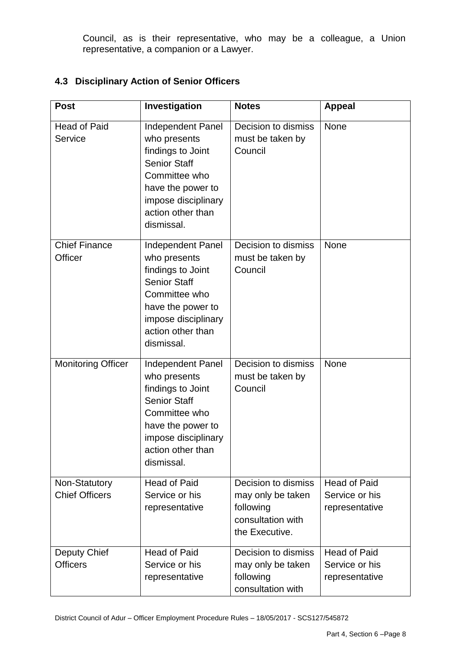Council, as is their representative, who may be a colleague, a Union representative, a companion or a Lawyer.

## **4.3 Disciplinary Action of Senior Officers**

| <b>Post</b>                            | Investigation                                                                                                                                                                        | <b>Notes</b>                                                                                 | <b>Appeal</b>                                           |
|----------------------------------------|--------------------------------------------------------------------------------------------------------------------------------------------------------------------------------------|----------------------------------------------------------------------------------------------|---------------------------------------------------------|
| <b>Head of Paid</b><br>Service         | <b>Independent Panel</b><br>who presents<br>findings to Joint<br><b>Senior Staff</b><br>Committee who<br>have the power to<br>impose disciplinary<br>action other than<br>dismissal. | Decision to dismiss<br>must be taken by<br>Council                                           | <b>None</b>                                             |
| <b>Chief Finance</b><br>Officer        | Independent Panel<br>who presents<br>findings to Joint<br><b>Senior Staff</b><br>Committee who<br>have the power to<br>impose disciplinary<br>action other than<br>dismissal.        | Decision to dismiss<br>must be taken by<br>Council                                           | None                                                    |
| <b>Monitoring Officer</b>              | <b>Independent Panel</b><br>who presents<br>findings to Joint<br><b>Senior Staff</b><br>Committee who<br>have the power to<br>impose disciplinary<br>action other than<br>dismissal. | Decision to dismiss<br>must be taken by<br>Council                                           | None                                                    |
| Non-Statutory<br><b>Chief Officers</b> | <b>Head of Paid</b><br>Service or his<br>representative                                                                                                                              | Decision to dismiss<br>may only be taken<br>following<br>consultation with<br>the Executive. | <b>Head of Paid</b><br>Service or his<br>representative |
| Deputy Chief<br><b>Officers</b>        | <b>Head of Paid</b><br>Service or his<br>representative                                                                                                                              | Decision to dismiss<br>may only be taken<br>following<br>consultation with                   | <b>Head of Paid</b><br>Service or his<br>representative |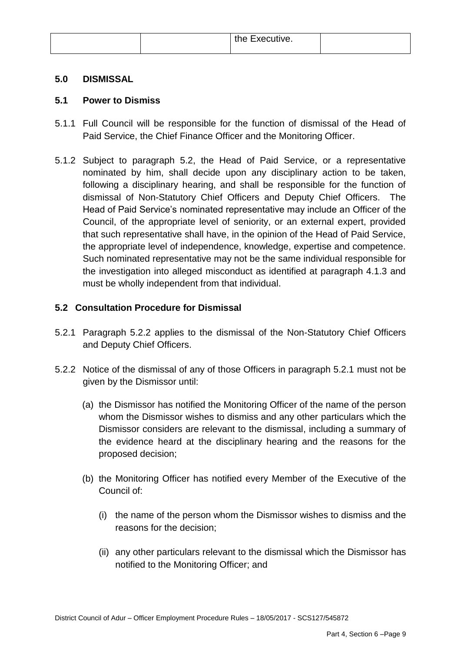| the Executive. |  |
|----------------|--|
|----------------|--|

### **5.0 DISMISSAL**

### **5.1 Power to Dismiss**

- 5.1.1 Full Council will be responsible for the function of dismissal of the Head of Paid Service, the Chief Finance Officer and the Monitoring Officer.
- 5.1.2 Subject to paragraph 5.2, the Head of Paid Service, or a representative nominated by him, shall decide upon any disciplinary action to be taken, following a disciplinary hearing, and shall be responsible for the function of dismissal of Non-Statutory Chief Officers and Deputy Chief Officers. The Head of Paid Service's nominated representative may include an Officer of the Council, of the appropriate level of seniority, or an external expert, provided that such representative shall have, in the opinion of the Head of Paid Service, the appropriate level of independence, knowledge, expertise and competence. Such nominated representative may not be the same individual responsible for the investigation into alleged misconduct as identified at paragraph 4.1.3 and must be wholly independent from that individual.

# **5.2 Consultation Procedure for Dismissal**

- 5.2.1 Paragraph 5.2.2 applies to the dismissal of the Non-Statutory Chief Officers and Deputy Chief Officers.
- 5.2.2 Notice of the dismissal of any of those Officers in paragraph 5.2.1 must not be given by the Dismissor until:
	- (a) the Dismissor has notified the Monitoring Officer of the name of the person whom the Dismissor wishes to dismiss and any other particulars which the Dismissor considers are relevant to the dismissal, including a summary of the evidence heard at the disciplinary hearing and the reasons for the proposed decision;
	- (b) the Monitoring Officer has notified every Member of the Executive of the Council of:
		- (i) the name of the person whom the Dismissor wishes to dismiss and the reasons for the decision;
		- (ii) any other particulars relevant to the dismissal which the Dismissor has notified to the Monitoring Officer; and